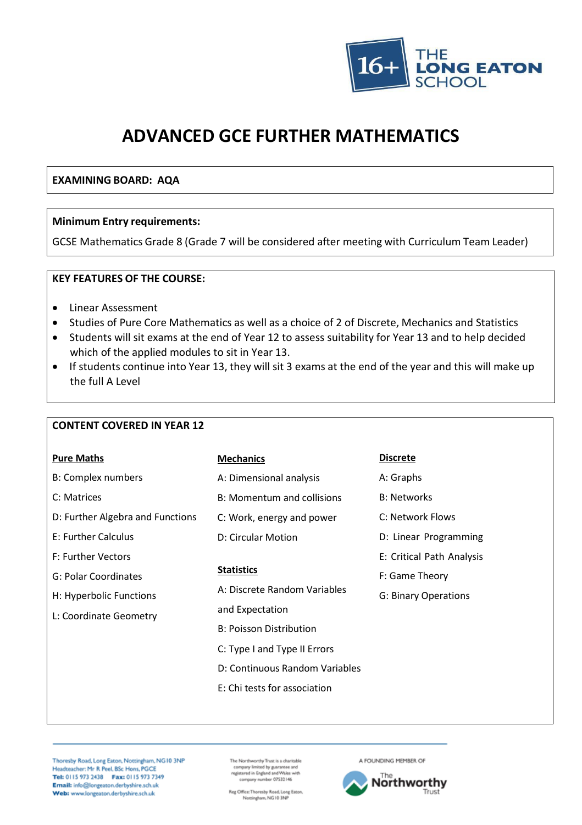

# **ADVANCED GCE FURTHER MATHEMATICS**

# **EXAMINING BOARD: AQA**

### **Minimum Entry requirements:**

GCSE Mathematics Grade 8 (Grade 7 will be considered after meeting with Curriculum Team Leader)

## **KEY FEATURES OF THE COURSE:**

- Linear Assessment
- Studies of Pure Core Mathematics as well as a choice of 2 of Discrete, Mechanics and Statistics
- Students will sit exams at the end of Year 12 to assess suitability for Year 13 and to help decided which of the applied modules to sit in Year 13.
- If students continue into Year 13, they will sit 3 exams at the end of the year and this will make up the full A Level

#### **CONTENT COVERED IN YEAR 12**

| <b>Pure Maths</b>                | <b>Mechanics</b>               | <b>Discrete</b>             |
|----------------------------------|--------------------------------|-----------------------------|
| <b>B: Complex numbers</b>        | A: Dimensional analysis        | A: Graphs                   |
| C: Matrices                      | B: Momentum and collisions     | <b>B: Networks</b>          |
| D: Further Algebra and Functions | C: Work, energy and power      | C: Network Flows            |
| E: Further Calculus              | D: Circular Motion             | D: Linear Programming       |
| F: Further Vectors               |                                | E: Critical Path Analysis   |
| G: Polar Coordinates             | <b>Statistics</b>              | F: Game Theory              |
| H: Hyperbolic Functions          | A: Discrete Random Variables   | <b>G: Binary Operations</b> |
| L: Coordinate Geometry           | and Expectation                |                             |
|                                  | <b>B: Poisson Distribution</b> |                             |
|                                  | C: Type I and Type II Errors   |                             |
|                                  | D: Continuous Random Variables |                             |
|                                  | E: Chi tests for association   |                             |
|                                  |                                |                             |

Thoresby Road, Long Eaton, Nottingham, NG10 3NP Headteacher: Mr R Peel, BSc Hons, PGCE Tel: 0115 973 2438 Fax: 0115 973 7349 Email: info@longeaton.derbyshire.sch.uk Web: www.longeaton.derbyshire.sch.uk

The Northworthy Trust is a charitable<br>company limited by guarantee and<br>registered in England and Wales with<br>company number 07532146

Reg Office:Thoresby Road, Long Eaton,<br>Nottingham, NG10 3NP

A FOUNDING MEMBER OF